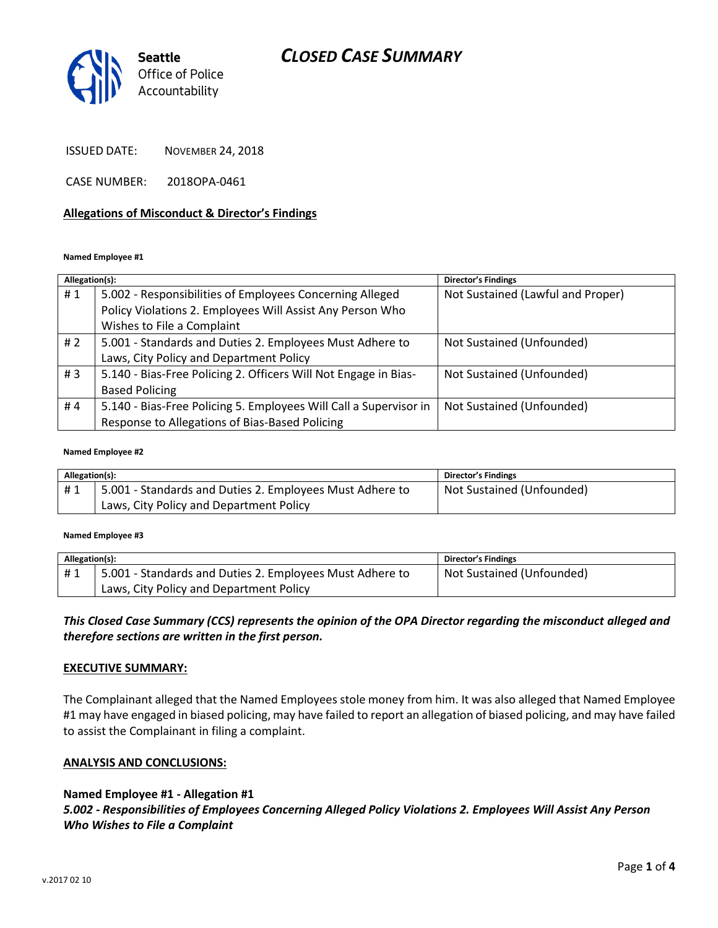# *CLOSED CASE SUMMARY*



ISSUED DATE: NOVEMBER 24, 2018

CASE NUMBER: 2018OPA-0461

### **Allegations of Misconduct & Director's Findings**

#### **Named Employee #1**

| Allegation(s): |                                                                                                                       | <b>Director's Findings</b>        |
|----------------|-----------------------------------------------------------------------------------------------------------------------|-----------------------------------|
| #1             | 5.002 - Responsibilities of Employees Concerning Alleged<br>Policy Violations 2. Employees Will Assist Any Person Who | Not Sustained (Lawful and Proper) |
|                | Wishes to File a Complaint                                                                                            |                                   |
| # $2$          | 5.001 - Standards and Duties 2. Employees Must Adhere to                                                              | Not Sustained (Unfounded)         |
|                | Laws, City Policy and Department Policy                                                                               |                                   |
| #3             | 5.140 - Bias-Free Policing 2. Officers Will Not Engage in Bias-                                                       | Not Sustained (Unfounded)         |
|                | <b>Based Policing</b>                                                                                                 |                                   |
| #4             | 5.140 - Bias-Free Policing 5. Employees Will Call a Supervisor in                                                     | Not Sustained (Unfounded)         |
|                | Response to Allegations of Bias-Based Policing                                                                        |                                   |

#### **Named Employee #2**

| Allegation(s): |                                                          | <b>Director's Findings</b> |
|----------------|----------------------------------------------------------|----------------------------|
| #1             | 5.001 - Standards and Duties 2. Employees Must Adhere to | Not Sustained (Unfounded)  |
|                | Laws, City Policy and Department Policy                  |                            |

#### **Named Employee #3**

| Allegation(s): |                                                          | Director's Findings       |
|----------------|----------------------------------------------------------|---------------------------|
| #1             | 5.001 - Standards and Duties 2. Employees Must Adhere to | Not Sustained (Unfounded) |
|                | Laws, City Policy and Department Policy                  |                           |

*This Closed Case Summary (CCS) represents the opinion of the OPA Director regarding the misconduct alleged and therefore sections are written in the first person.* 

### **EXECUTIVE SUMMARY:**

The Complainant alleged that the Named Employees stole money from him. It was also alleged that Named Employee #1 may have engaged in biased policing, may have failed to report an allegation of biased policing, and may have failed to assist the Complainant in filing a complaint.

### **ANALYSIS AND CONCLUSIONS:**

### **Named Employee #1 - Allegation #1**

*5.002 - Responsibilities of Employees Concerning Alleged Policy Violations 2. Employees Will Assist Any Person Who Wishes to File a Complaint*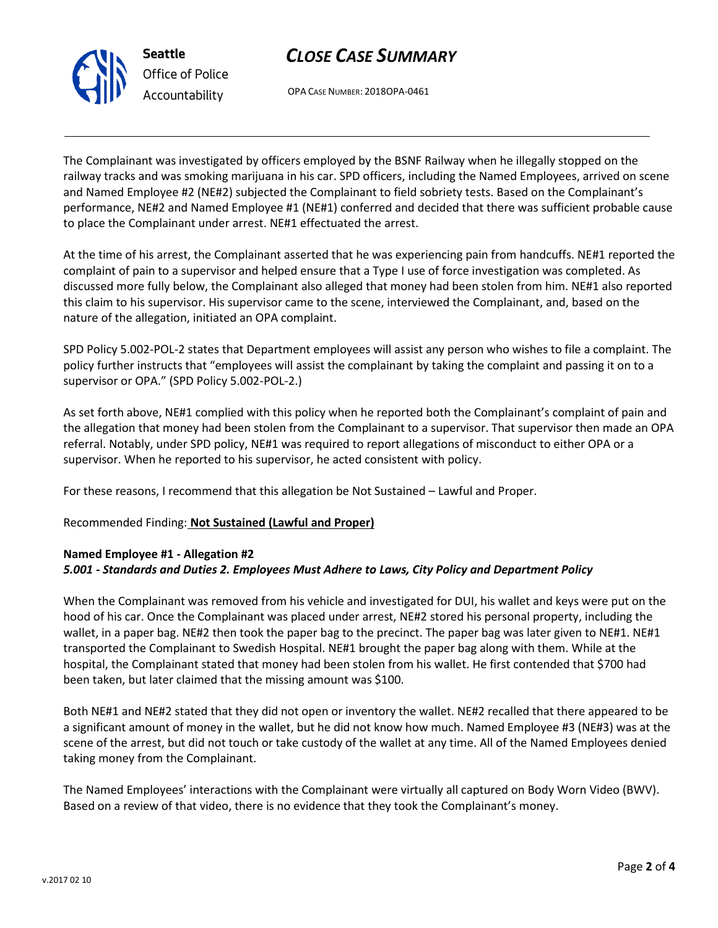v.2017 02 10

# *CLOSE CASE SUMMARY*

OPA CASE NUMBER: 2018OPA-0461

The Complainant was investigated by officers employed by the BSNF Railway when he illegally stopped on the railway tracks and was smoking marijuana in his car. SPD officers, including the Named Employees, arrived on scene and Named Employee #2 (NE#2) subjected the Complainant to field sobriety tests. Based on the Complainant's performance, NE#2 and Named Employee #1 (NE#1) conferred and decided that there was sufficient probable cause to place the Complainant under arrest. NE#1 effectuated the arrest.

At the time of his arrest, the Complainant asserted that he was experiencing pain from handcuffs. NE#1 reported the complaint of pain to a supervisor and helped ensure that a Type I use of force investigation was completed. As discussed more fully below, the Complainant also alleged that money had been stolen from him. NE#1 also reported this claim to his supervisor. His supervisor came to the scene, interviewed the Complainant, and, based on the nature of the allegation, initiated an OPA complaint.

SPD Policy 5.002-POL-2 states that Department employees will assist any person who wishes to file a complaint. The policy further instructs that "employees will assist the complainant by taking the complaint and passing it on to a supervisor or OPA." (SPD Policy 5.002-POL-2.)

As set forth above, NE#1 complied with this policy when he reported both the Complainant's complaint of pain and the allegation that money had been stolen from the Complainant to a supervisor. That supervisor then made an OPA referral. Notably, under SPD policy, NE#1 was required to report allegations of misconduct to either OPA or a supervisor. When he reported to his supervisor, he acted consistent with policy.

For these reasons, I recommend that this allegation be Not Sustained – Lawful and Proper.

Recommended Finding: **Not Sustained (Lawful and Proper)**

# **Named Employee #1 - Allegation #2** *5.001 - Standards and Duties 2. Employees Must Adhere to Laws, City Policy and Department Policy*

When the Complainant was removed from his vehicle and investigated for DUI, his wallet and keys were put on the hood of his car. Once the Complainant was placed under arrest, NE#2 stored his personal property, including the wallet, in a paper bag. NE#2 then took the paper bag to the precinct. The paper bag was later given to NE#1. NE#1 transported the Complainant to Swedish Hospital. NE#1 brought the paper bag along with them. While at the hospital, the Complainant stated that money had been stolen from his wallet. He first contended that \$700 had been taken, but later claimed that the missing amount was \$100.

Both NE#1 and NE#2 stated that they did not open or inventory the wallet. NE#2 recalled that there appeared to be a significant amount of money in the wallet, but he did not know how much. Named Employee #3 (NE#3) was at the scene of the arrest, but did not touch or take custody of the wallet at any time. All of the Named Employees denied taking money from the Complainant.

The Named Employees' interactions with the Complainant were virtually all captured on Body Worn Video (BWV). Based on a review of that video, there is no evidence that they took the Complainant's money.



**Seattle** *Office of Police Accountability*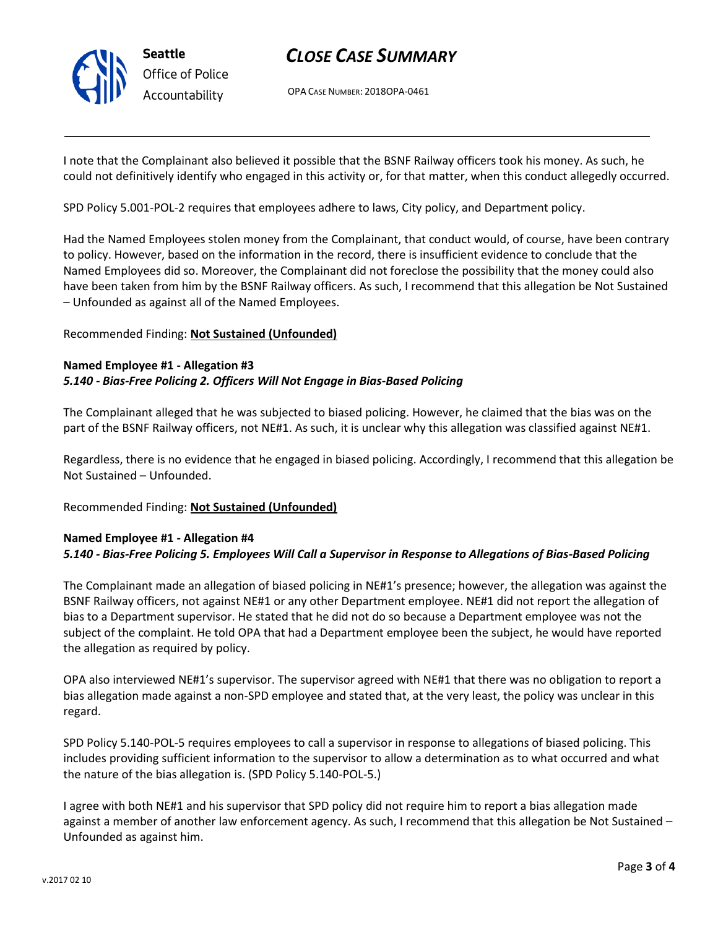

# *CLOSE CASE SUMMARY*

OPA CASE NUMBER: 2018OPA-0461

I note that the Complainant also believed it possible that the BSNF Railway officers took his money. As such, he could not definitively identify who engaged in this activity or, for that matter, when this conduct allegedly occurred.

SPD Policy 5.001-POL-2 requires that employees adhere to laws, City policy, and Department policy.

Had the Named Employees stolen money from the Complainant, that conduct would, of course, have been contrary to policy. However, based on the information in the record, there is insufficient evidence to conclude that the Named Employees did so. Moreover, the Complainant did not foreclose the possibility that the money could also have been taken from him by the BSNF Railway officers. As such, I recommend that this allegation be Not Sustained – Unfounded as against all of the Named Employees.

## Recommended Finding: **Not Sustained (Unfounded)**

## **Named Employee #1 - Allegation #3** *5.140 - Bias-Free Policing 2. Officers Will Not Engage in Bias-Based Policing*

The Complainant alleged that he was subjected to biased policing. However, he claimed that the bias was on the part of the BSNF Railway officers, not NE#1. As such, it is unclear why this allegation was classified against NE#1.

Regardless, there is no evidence that he engaged in biased policing. Accordingly, I recommend that this allegation be Not Sustained – Unfounded.

### Recommended Finding: **Not Sustained (Unfounded)**

# **Named Employee #1 - Allegation #4** *5.140 - Bias-Free Policing 5. Employees Will Call a Supervisor in Response to Allegations of Bias-Based Policing*

The Complainant made an allegation of biased policing in NE#1's presence; however, the allegation was against the BSNF Railway officers, not against NE#1 or any other Department employee. NE#1 did not report the allegation of bias to a Department supervisor. He stated that he did not do so because a Department employee was not the subject of the complaint. He told OPA that had a Department employee been the subject, he would have reported the allegation as required by policy.

OPA also interviewed NE#1's supervisor. The supervisor agreed with NE#1 that there was no obligation to report a bias allegation made against a non-SPD employee and stated that, at the very least, the policy was unclear in this regard.

SPD Policy 5.140-POL-5 requires employees to call a supervisor in response to allegations of biased policing. This includes providing sufficient information to the supervisor to allow a determination as to what occurred and what the nature of the bias allegation is. (SPD Policy 5.140-POL-5.)

I agree with both NE#1 and his supervisor that SPD policy did not require him to report a bias allegation made against a member of another law enforcement agency. As such, I recommend that this allegation be Not Sustained – Unfounded as against him.